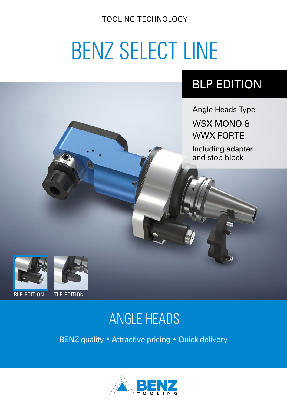TOOLING TECHNOLOGY

# BENZ SELECT LINE

## BLP EDITION

Angle Heads Type

WSX MONO & WWX FORTE

Including adapter and stop block





#### BLP-EDITION TLP-EDITION

# ANGLE HEADS

BENZ quality • Attractive pricing • Quick delivery

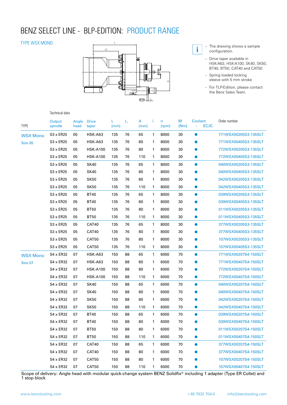#### BENZ SELECT LINE - BLP-EDITION: PRODUCT RANGE

#### TYPE WSX MONO

Technical data



- **i** The drawing shows a sample<br> **i** configuration configuration.
	- Drive taper available in HSK-A63, HSK-A100, SK40, SK50, BT40, BT50, CAT40 and CAT50
	- Spring loaded locking sleeve with 5 mm stroke
	- For TLP-Edition, please contact the Benz Sales Team.

#### **Output** spindle Angle head Drive taper L L<sub>1</sub> A i n M Coolant Order number<br>[mm] [mm] [rpm] [Nm] - EC/IC TYPE [mm] [mm] [rpm] [Nm] - EC/IC WSX Mono S3 x ER25 05 HSK-A63 135 76 65 1 8000 30 0 771WSX00205S3-135SLT Size 05 S3 x ER25 05 HSK-A63 135 76 80 1 8000 30 ● 771WSX00405S3-135SLT S3 x ER25 05 HSK-A100 135 76 80 1 8000 30 772WSX00205S3-135SLT S3 x ER25 05 HSK-A100 135 76 110 1 8000 30 772WSX00405S3-135SLT S3 x ER25 05 SK40 135 76 65 1 8000 30 ● 040WSX00205S3-135SLT S3 x ER25 05 SK40 135 76 80 1 8000 30 ● 040WSX00405S3-135SLT S3 x ER25 05 SK50 135 76 80 1 8000 30 0 042WSX00205S3-135SLT S3 x ER25 05 SK50 135 76 110 1 8000 30 0 042WSX00405S3-135SLT S3 x ER25 05 BT40 135 76 65 1 8000 30 ● 039WSX00205S3-135SLT S3 x ER25 05 BT40 135 76 80 1 8000 30 ● 039WSX00405S3-135SLT S3 x ER25 05 BT50 135 76 80 1 8000 30 ● 011WSX00205S3-135SLT S3 x ER25 05 BT50 135 76 110 1 8000 30 ● 011WSX00405S3-135SLT S3 x ER25 05 CAT40 135 76 65 1 8000 30 377WSX00205S3-135SLT S3 x ER25 05 CAT40 135 76 80 1 8000 30 377WSX00405S3-135SLT S3 x ER25 05 CAT50 135 76 80 1 8000 30 ● 107WSX00205S3-135SLT S3 x ER25 05 CAT50 135 76 110 1 8000 30 0 107WSX00405S3-135SLT WSX Mono S4 x ER32 07 HSK-A63 150 88 65 1 6000 70 0 771WSX00207S4-150SLT Size 07 S4 x ER32 07 HSK-A63 150 88 80 1 6000 70 0 771WSX00407S4-150SLT S4 x ER32 07 HSK-A100 150 88 80 1 6000 70 772WSX00207S4-150SLT S4 x ER32 07 HSK-A100 150 88 110 1 6000 70 772WSX00407S4-150SLT S4 x ER32 07 SK40 150 88 65 1 6000 70 ● 040WSX00207S4-150SLT S4 x ER32 07 SK40 150 88 80 1 6000 70 ● 040WSX00407S4-150SLT S4 x ER32 07 SK50 150 88 80 1 6000 70 0 042WSX00207S4-150SLT S4 x ER32 07 SK50 150 88 110 1 6000 70 ● 042WSX00407S4-150SLT S4 x ER32 07 BT40 150 88 65 1 6000 70 ● 039WSX00207S4-150SLT S4 x ER32 07 BT40 150 88 80 1 6000 70 039WSX00407S4-150SLT S4 x ER32 07 BT50 150 88 80 1 6000 70 ● 011WSX00207S4-150SLT S4 x ER32 07 BT50 150 88 110 1 6000 70 0 011WSX00407S4-150SLT S4 x ER32 07 CAT40 150 88 65 1 6000 70 377WSX00207S4-150SLT S4 x ER32 07 CAT40 150 88 80 1 6000 70 377WSX00407S4-150SLT S4 x ER32 07 CAT50 150 88 80 1 6000 70 ● 107WSX00207S4-150SLT S4 x ER32 07 CAT50 150 88 110 1 6000 70 ● 107WSX00407S4-150SLT

Scope of delivery: Angle head with modular quick-change system BENZ Solidfix® including 1 adapter (Type ER Collet) and 1 stop block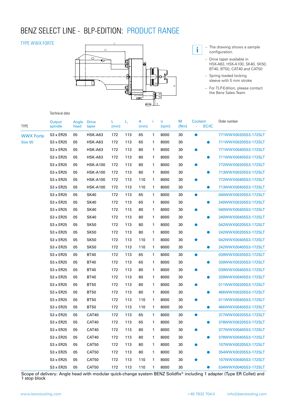### BENZ SELECT LINE - BLP-EDITION: PRODUCT RANGE

#### TYPE WWX FORTE



- **i** The drawing shows a sample configuration.
	- Drive taper available in HSK-A63, HSK-A100, SK40, SK50, BT40, BT50, CAT40 and CAT50
	- Spring loaded locking sleeve with 5 mm stroke
	- For TLP-Edition, please contact the Benz Sales Team.

#### Technical data

| TYPE                        | Output<br>spindle | Angle<br>head | <b>Drive</b><br>taper | L<br>[mm] | $L_{1}$ | A<br>[mm] | Ť.           | n<br>[rpm] | M<br>[Nm] | Coolant<br>EC/IC<br>ä, | Order number         |
|-----------------------------|-------------------|---------------|-----------------------|-----------|---------|-----------|--------------|------------|-----------|------------------------|----------------------|
| <b>WWX Forte</b><br>Size 05 | $S3 \times ER25$  | 05            | <b>HSK-A63</b>        | 172       | 113     | 65        | $\mathbf{1}$ | 8000       | 30        | $\bullet$              | 771WWX00205S3-172SLT |
|                             | $S3 \times ER25$  | 05            | HSK-A63               | 172       | 113     | 65        | 1            | 8000       | 30        | $\bullet$              | 711WWX00205S3-172SLT |
|                             | $S3 \times ER25$  | 05            | HSK-A63               | 172       | 113     | 80        | 1            | 8000       | 30        | $\bullet$              | 771WWX00405S3-172SLT |
|                             | S3 x ER25         | 05            | <b>HSK-A63</b>        | 172       | 113     | 80        | 1            | 8000       | 30        | $\bullet$              | 711WWX00405S3-172SLT |
|                             | S3 x ER25         | 05            | <b>HSK-A100</b>       | 172       | 113     | 80        | 1            | 8000       | 30        | $\bullet$              | 772WWX00205S3-172SLT |
|                             | S3 x ER25         | 05            | <b>HSK-A100</b>       | 172       | 113     | 80        | 1            | 8000       | 30        | $\bullet$              | 713WWX00205S3-172SLT |
|                             | S3 x ER25         | 05            | <b>HSK-A100</b>       | 172       | 113     | 110       | 1            | 8000       | 30        | $\bullet$              | 772WWX00405S3-172SLT |
|                             | S3 x ER25         | 05            | <b>HSK-A100</b>       | 172       | 113     | 110       | 1            | 8000       | 30        | $\bullet$              | 713WWX00405S3-172SLT |
|                             | S3 x ER25         | 05            | <b>SK40</b>           | 172       | 113     | 65        | 1            | 8000       | 30        | $\bullet$              | 040WWX00205S3-172SLT |
|                             | S3 x ER25         | 05            | <b>SK40</b>           | 172       | 113     | 65        | 1            | 8000       | 30        | ●                      | 240WWX00205S3-172SLT |
|                             | S3 x ER25         | 05            | <b>SK40</b>           | 172       | 113     | 80        | $\mathbf{1}$ | 8000       | 30        | $\bullet$              | 040WWX00405S3-172SLT |
|                             | S3 x ER25         | 05            | <b>SK40</b>           | 172       | 113     | 80        | 1            | 8000       | 30        | O                      | 240WWX00405S3-172SLT |
|                             | S3 x ER25         | 05            | <b>SK50</b>           | 172       | 113     | 80        | 1            | 8000       | 30        | ●                      | 042WWX00205S3-172SLT |
|                             | S3 x ER25         | 05            | <b>SK50</b>           | 172       | 113     | 80        | 1            | 8000       | 30        | $\bullet$              | 242WWX00205S3-172SLT |
|                             | S3 x ER25         | 05            | <b>SK50</b>           | 172       | 113     | 110       | $\mathbf{1}$ | 8000       | 30        | $\bullet$              | 042WWX00405S3-172SLT |
|                             | $S3 \times ER25$  | 05            | <b>SK50</b>           | 172       | 113     | 110       | 1            | 8000       | 30        | $\bullet$              | 242WWX00405S3-172SLT |
|                             | S3 x ER25         | 05            | <b>BT40</b>           | 172       | 113     | 65        | 1            | 8000       | 30        | $\bullet$              | 039WWX00205S3-172SLT |
|                             | S3 x ER25         | 05            | <b>BT40</b>           | 172       | 113     | 65        | 1            | 8000       | 30        | ●                      | 339WWX00205S3-172SLT |
|                             | S3 x ER25         | 05            | <b>BT40</b>           | 172       | 113     | 80        | 1            | 8000       | 30        | $\bullet$              | 039WWX00405S3-172SLT |
|                             | $S3 \times ER25$  | 05            | <b>BT40</b>           | 172       | 113     | 80        | 1            | 8000       | 30        |                        | 339WWX00405S3-172SLT |
|                             | S3 x ER25         | 05            | <b>BT50</b>           | 172       | 113     | 80        | 1            | 8000       | 30        | $\bullet$              | 011WWX00205S3-172SLT |
|                             | S3 x ER25         | 05            | <b>BT50</b>           | 172       | 113     | 80        | 1            | 8000       | 30        |                        | 466WWX00205S3-172SLT |
|                             | S3 x ER25         | 05            | <b>BT50</b>           | 172       | 113     | 110       | $\mathbf{1}$ | 8000       | 30        | $\bullet$              | 011WWX00405S3-172SLT |
|                             | S3 x ER25         | 05            | <b>BT50</b>           | 172       | 113     | 110       | 1            | 8000       | 30        | $\bullet$              | 466WWX00405S3-172SLT |
|                             | S3 x ER25         | 05            | CAT40                 | 172       | 113     | 65        | 1            | 8000       | 30        | $\bullet$              | 377WWX00205S3-172SLT |
|                             | S3 x ER25         | 05            | CAT40                 | 172       | 113     | 65        | 1            | 8000       | 30        | œ                      | 378WWX00205S3-172SLT |
|                             | S3 x ER25         | 05            | CAT40                 | 172       | 113     | 80        | 1            | 8000       | 30        | ●                      | 377WWX00405S3-172SLT |
|                             | S3 x ER25         | 05            | CAT40                 | 172       | 113     | 80        | 1            | 8000       | 30        | $\bullet$              | 378WWX00405S3-172SLT |
|                             | S3 x ER25         | 05            | CAT50                 | 172       | 113     | 80        | 1            | 8000       | 30        | ●                      | 107WWX00205S3-172SLT |
|                             | S3 x ER25         | 05            | CAT50                 | 172       | 113     | 80        | 1            | 8000       | 30        |                        | 354WWX00205S3-172SLT |
|                             | S3 x ER25         | 05            | CAT50                 | 172       | 113     | 110       | 1            | 8000       | 30        |                        | 107WWX00405S3-172SLT |
|                             | S3 x ER25         | 05            | CAT50                 | 172       | 113     | 110       | 1            | 8000       | 30        | $\bullet$              | 534WWX00405S3-172SLT |

Scope of delivery: Angle head with modular quick-change system BENZ Solidfix® including 1 adapter (Type ER Collet) and 1 stop block